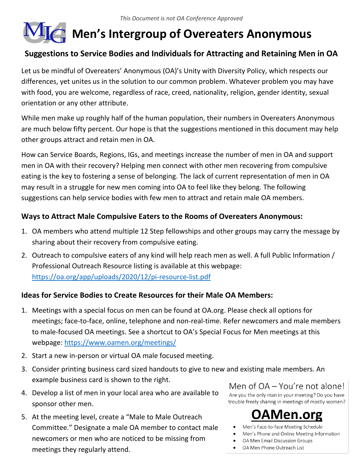# **Men's Intergroup of Overeaters Anonymous**

# **Suggestions to Service Bodies and Individuals for Attracting and Retaining Men in OA**

Let us be mindful of Overeaters' Anonymous (OA)'s Unity with Diversity Policy, which respects our differences, yet unites us in the solution to our common problem. Whatever problem you may have with food, you are welcome, regardless of race, creed, nationality, religion, gender identity, sexual orientation or any other attribute.

While men make up roughly half of the human population, their numbers in Overeaters Anonymous are much below fifty percent. Our hope is that the suggestions mentioned in this document may help other groups attract and retain men in OA.

How can Service Boards, Regions, IGs, and meetings increase the number of men in OA and support men in OA with their recovery? Helping men connect with other men recovering from compulsive eating is the key to fostering a sense of belonging. The lack of current representation of men in OA may result in a struggle for new men coming into OA to feel like they belong. The following suggestions can help service bodies with few men to attract and retain male OA members.

## **Ways to Attract Male Compulsive Eaters to the Rooms of Overeaters Anonymous:**

- 1. OA members who attend multiple 12 Step fellowships and other groups may carry the message by sharing about their recovery from compulsive eating.
- 2. Outreach to compulsive eaters of any kind will help reach men as well. A full Public Information / Professional Outreach Resource listing is available at this webpage: https://oa.org/app/uploads/2020/12/pi-resource-list.pdf

#### **Ideas for Service Bodies to Create Resources for their Male OA Members:**

- 1. Meetings with a special focus on men can be found at OA.org. Please check all options for meetings; face-to-face, online, telephone and non-real-time. Refer newcomers and male members to male-focused OA meetings. See a shortcut to OA's Special Focus for Men meetings at this webpage: https://www.oamen.org/meetings/
- 2. Start a new in-person or virtual OA male focused meeting.
- 3. Consider printing business card sized handouts to give to new and existing male members. An example business card is shown to the right.
- 4. Develop a list of men in your local area who are available to sponsor other men.
- 5. At the meeting level, create a "Male to Male Outreach Committee." Designate a male OA member to contact male newcomers or men who are noticed to be missing from meetings they regularly attend.

Men of OA - You're not alone! Are you the only man in your meeting? Do you have trouble freely sharing in meetings of mostly women?



- Men's Face-to-face Meeting Schedule
- Men's Phone and Online Meeting Information
- OA Men Email Discussion Groups
- OA Men Phone Outreach List